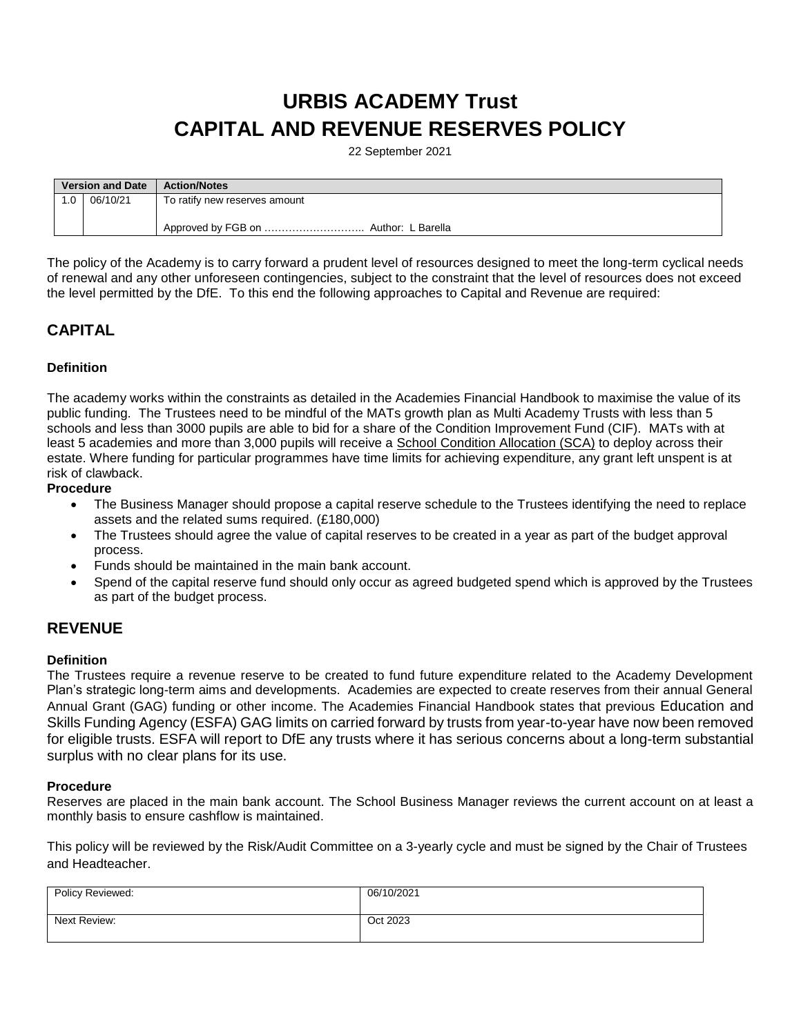# **URBIS ACADEMY Trust CAPITAL AND REVENUE RESERVES POLICY**

22 September 2021

| <b>Version and Date</b> |          | <b>Action/Notes</b>           |
|-------------------------|----------|-------------------------------|
| 0.،                     | 06/10/21 | To ratify new reserves amount |
|                         |          |                               |
|                         |          |                               |

The policy of the Academy is to carry forward a prudent level of resources designed to meet the long-term cyclical needs of renewal and any other unforeseen contingencies, subject to the constraint that the level of resources does not exceed the level permitted by the DfE. To this end the following approaches to Capital and Revenue are required:

## **CAPITAL**

#### **Definition**

The academy works within the constraints as detailed in the Academies Financial Handbook to maximise the value of its public funding. The Trustees need to be mindful of the MATs growth plan as Multi Academy Trusts with less than 5 schools and less than 3000 pupils are able to bid for a share of the Condition Improvement Fund (CIF). MATs with at least 5 academies and more than 3,000 pupils will receive a School Condition [Allocation](https://www.gov.uk/government/publications/capital-allocations) (SCA) to deploy across their estate. Where funding for particular programmes have time limits for achieving expenditure, any grant left unspent is at risk of clawback.

#### **Procedure**

- The Business Manager should propose a capital reserve schedule to the Trustees identifying the need to replace assets and the related sums required. (£180,000)
- The Trustees should agree the value of capital reserves to be created in a year as part of the budget approval process.
- Funds should be maintained in the main bank account.
- Spend of the capital reserve fund should only occur as agreed budgeted spend which is approved by the Trustees as part of the budget process.

### **REVENUE**

#### **Definition**

The Trustees require a revenue reserve to be created to fund future expenditure related to the Academy Development Plan's strategic long-term aims and developments. Academies are expected to create reserves from their annual General Annual Grant (GAG) funding or other income. The Academies Financial Handbook states that previous Education and Skills Funding Agency (ESFA) GAG limits on carried forward by trusts from year-to-year have now been removed for eligible trusts. ESFA will report to DfE any trusts where it has serious concerns about a long-term substantial surplus with no clear plans for its use.

#### **Procedure**

Reserves are placed in the main bank account. The School Business Manager reviews the current account on at least a monthly basis to ensure cashflow is maintained.

This policy will be reviewed by the Risk/Audit Committee on a 3-yearly cycle and must be signed by the Chair of Trustees and Headteacher.

| Policy Reviewed: | 06/10/2021 |
|------------------|------------|
| Next Review:     | Oct 2023   |